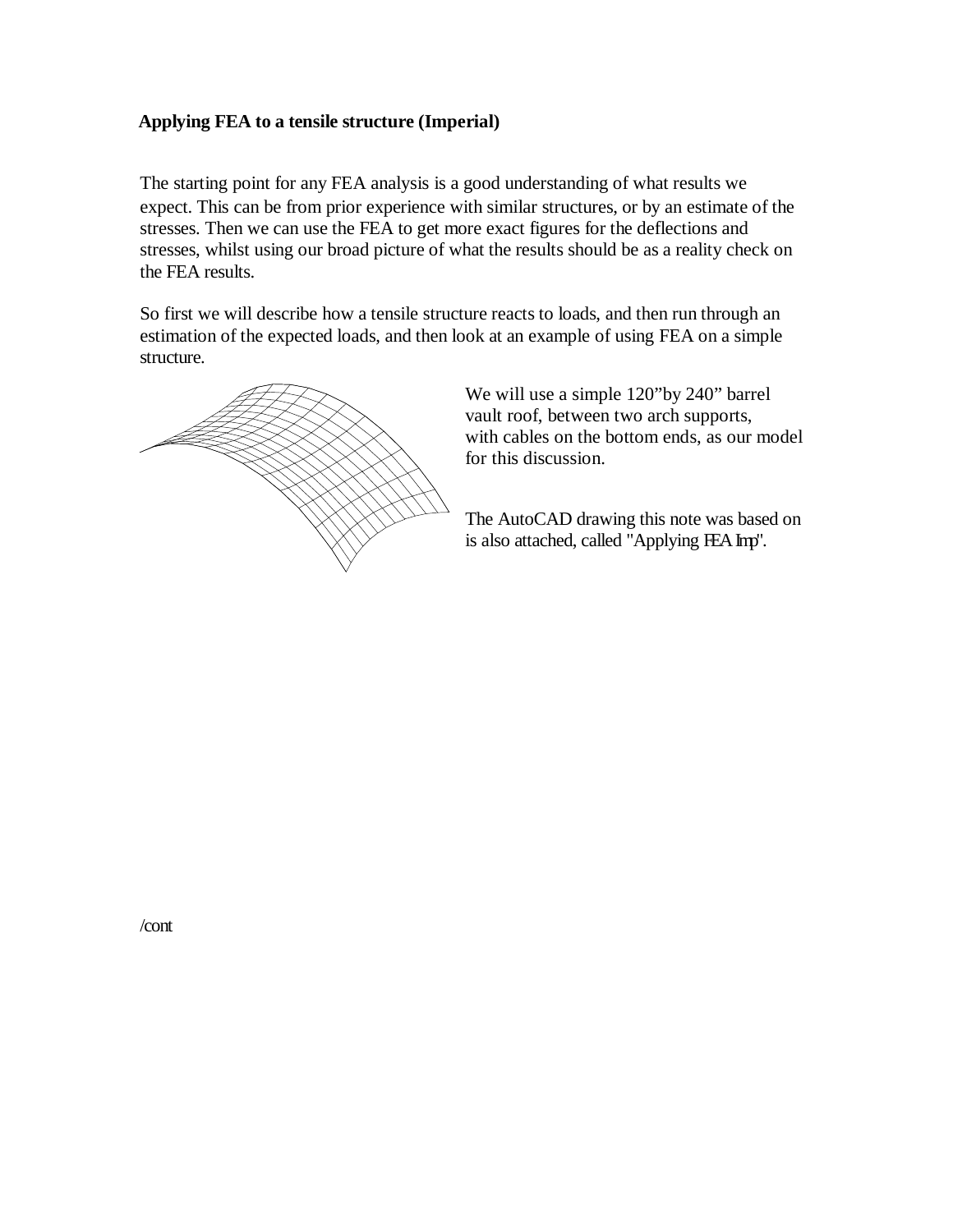### **Applying FEA to a tensile structure (Imperial)**

The starting point for any FEA analysis is a good understanding of what results we expect. This can be from prior experience with similar structures, or by an estimate of the stresses. Then we can use the FEA to get more exact figures for the deflections and stresses, whilst using our broad picture of what the results should be as a reality check on the FEA results.

So first we will describe how a tensile structure reacts to loads, and then run through an estimation of the expected loads, and then look at an example of using FEA on a simple structure.



We will use a simple 120"by 240" barrel vault roof, between two arch supports, with cables on the bottom ends, as our model for this discussion.

The AutoCAD drawing this note was based on is also attached, called "Applying FEA Imp".

/cont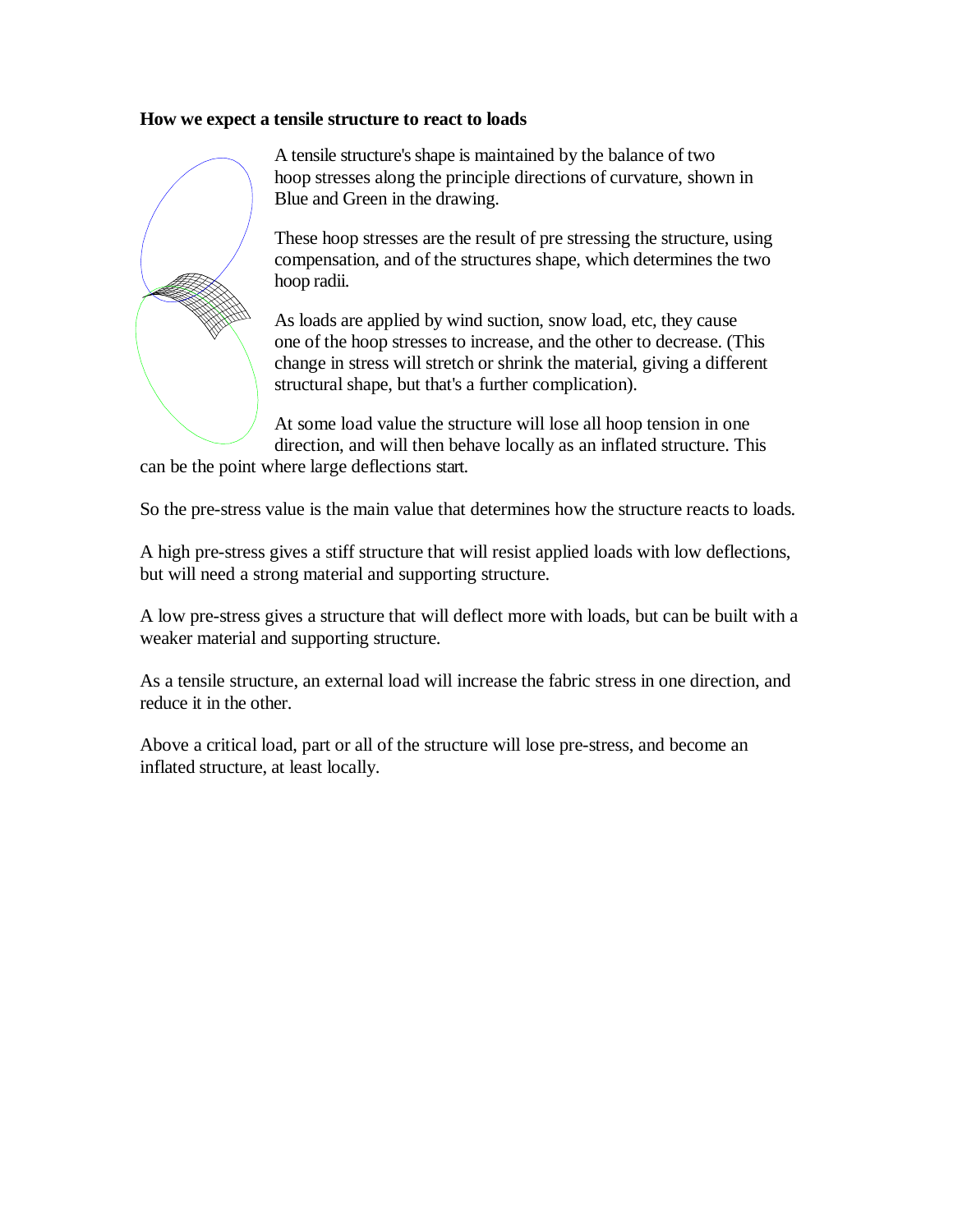#### **How we expect a tensile structure to react to loads**



A tensile structure's shape is maintained by the balance of two hoop stresses along the principle directions of curvature, shown in Blue and Green in the drawing.

These hoop stresses are the result of pre stressing the structure, using compensation, and of the structures shape, which determines the two hoop radii.

As loads are applied by wind suction, snow load, etc, they cause one of the hoop stresses to increase, and the other to decrease. (This change in stress will stretch or shrink the material, giving a different structural shape, but that's a further complication).

At some load value the structure will lose all hoop tension in one direction, and will then behave locally as an inflated structure. This

can be the point where large deflections start.

So the pre-stress value is the main value that determines how the structure reacts to loads.

A high pre-stress gives a stiff structure that will resist applied loads with low deflections, but will need a strong material and supporting structure.

A low pre-stress gives a structure that will deflect more with loads, but can be built with a weaker material and supporting structure.

As a tensile structure, an external load will increase the fabric stress in one direction, and reduce it in the other.

Above a critical load, part or all of the structure will lose pre-stress, and become an inflated structure, at least locally.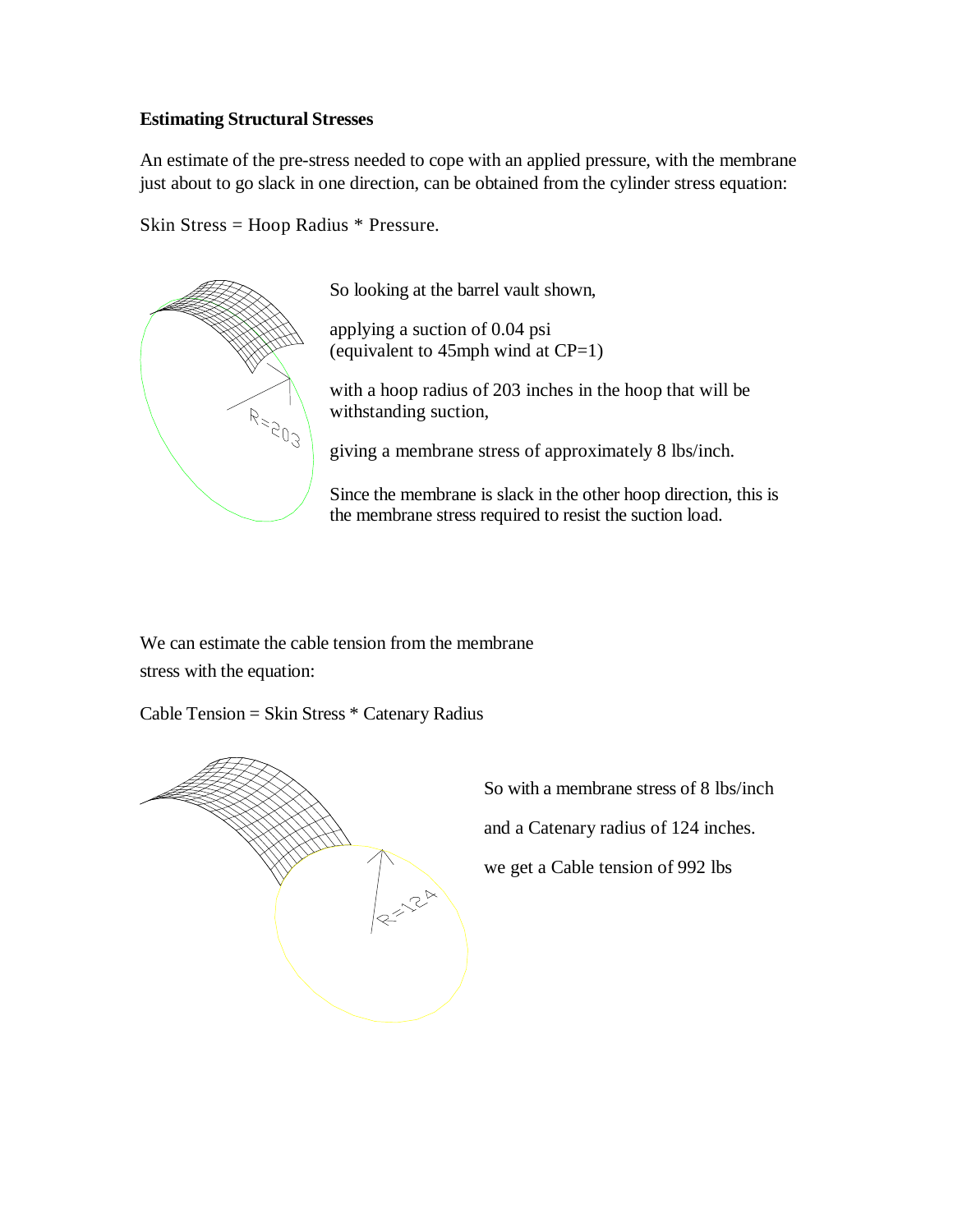### **Estimating Structural Stresses**

An estimate of the pre-stress needed to cope with an applied pressure, with the membrane just about to go slack in one direction, can be obtained from the cylinder stress equation:

Skin Stress = Hoop Radius \* Pressure.



So looking at the barrel vault shown,

applying a suction of 0.04 psi (equivalent to  $45$ mph wind at CP=1)

with a hoop radius of 203 inches in the hoop that will be withstanding suction,

giving a membrane stress of approximately 8 lbs/inch.

Since the membrane is slack in the other hoop direction, this is the membrane stress required to resist the suction load.

We can estimate the cable tension from the membrane stress with the equation:

Cable Tension = Skin Stress \* Catenary Radius



So with a membrane stress of 8 lbs/inch

and a Catenary radius of 124 inches.

we get a Cable tension of 992 lbs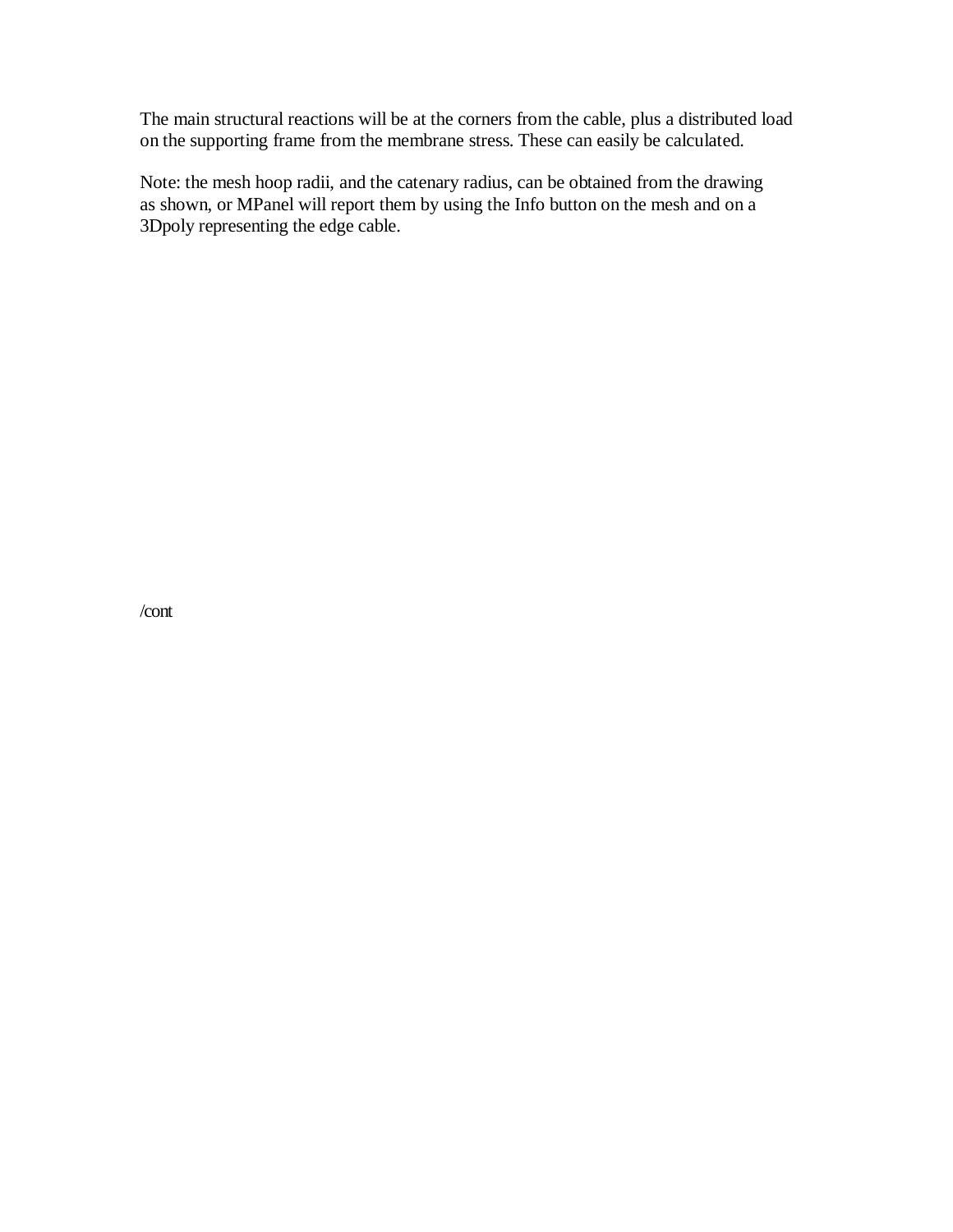The main structural reactions will be at the corners from the cable, plus a distributed load on the supporting frame from the membrane stress. These can easily be calculated.

Note: the mesh hoop radii, and the catenary radius, can be obtained from the drawing as shown, or MPanel will report them by using the Info button on the mesh and on a 3Dpoly representing the edge cable.

/cont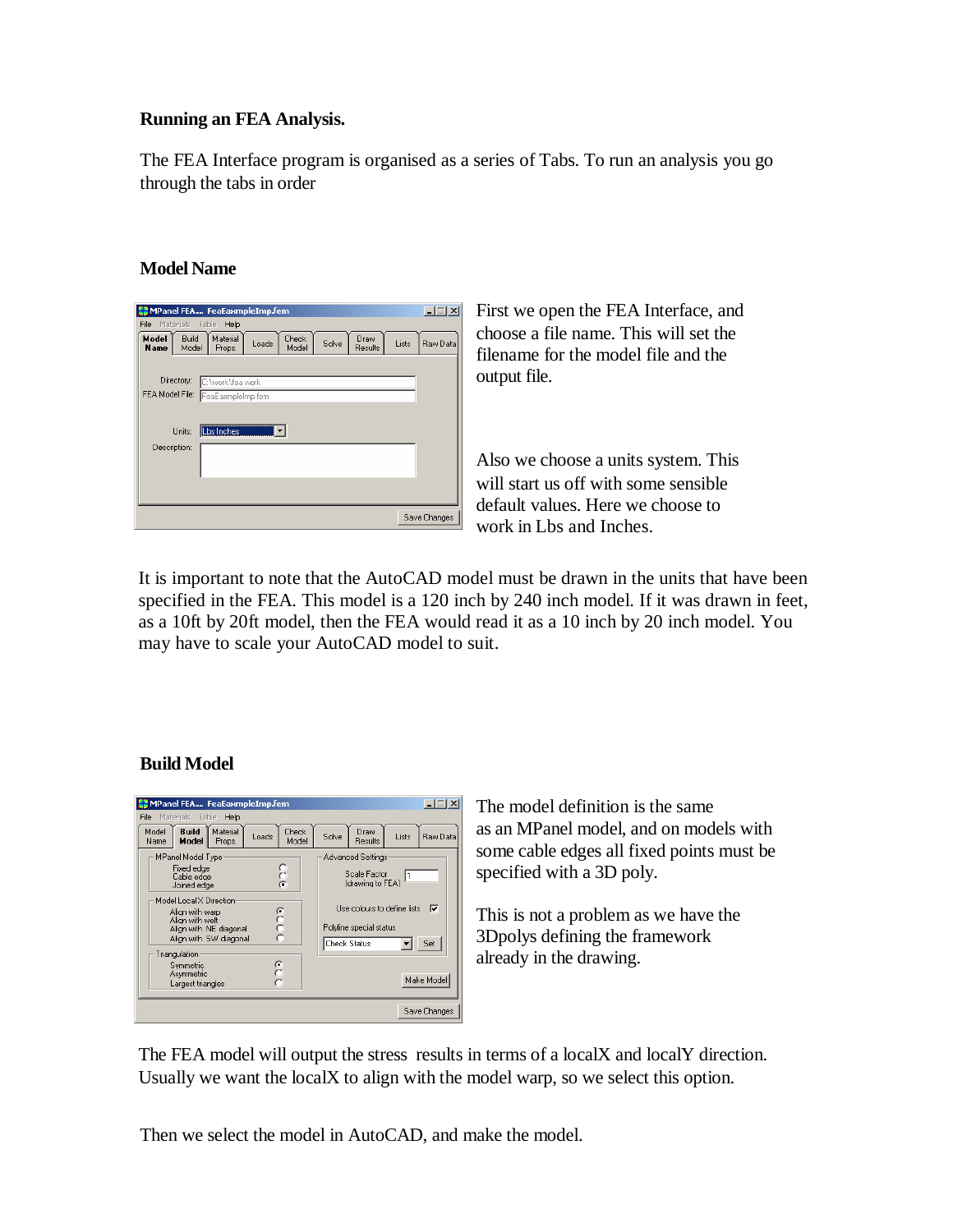### **Running an FEA Analysis.**

The FEA Interface program is organised as a series of Tabs. To run an analysis you go through the tabs in order

### **Model Name**

| MPanel FEA FeaEaxmpleImp.fem       |                                                                           | $ \Box$ $\times$ $\Box$ |
|------------------------------------|---------------------------------------------------------------------------|-------------------------|
| File<br>Materials<br>Table         | Help                                                                      |                         |
| Model<br>Build<br>Model<br>Name    | Material<br>Check<br>Draw<br>Solve<br>Loads<br>Results<br>Model<br>Props. | Lists<br>Raw Data       |
|                                    |                                                                           |                         |
| Directory:                         | C:\work\fea work                                                          |                         |
| FEA Model File: FeaE axmpleImp.fem |                                                                           |                         |
|                                    |                                                                           |                         |
| Units:                             | Lbs Inches                                                                |                         |
| Description:                       |                                                                           |                         |
|                                    |                                                                           |                         |
|                                    |                                                                           |                         |
|                                    |                                                                           |                         |
|                                    |                                                                           | Save Changes            |

First we open the FEA Interface, and choose a file name. This will set the filename for the model file and the output file.

Also we choose a units system. This will start us off with some sensible default values. Here we choose to work in Lbs and Inches.

It is important to note that the AutoCAD model must be drawn in the units that have been specified in the FEA. This model is a 120 inch by 240 inch model. If it was drawn in feet, as a 10ft by 20ft model, then the FEA would read it as a 10 inch by 20 inch model. You may have to scale your AutoCAD model to suit.

## **Build Model**



The model definition is the same as an MPanel model, and on models with some cable edges all fixed points must be specified with a 3D poly.

This is not a problem as we have the 3Dpolys defining the framework already in the drawing.

The FEA model will output the stress results in terms of a localX and localY direction. Usually we want the localX to align with the model warp, so we select this option.

Then we select the model in AutoCAD, and make the model.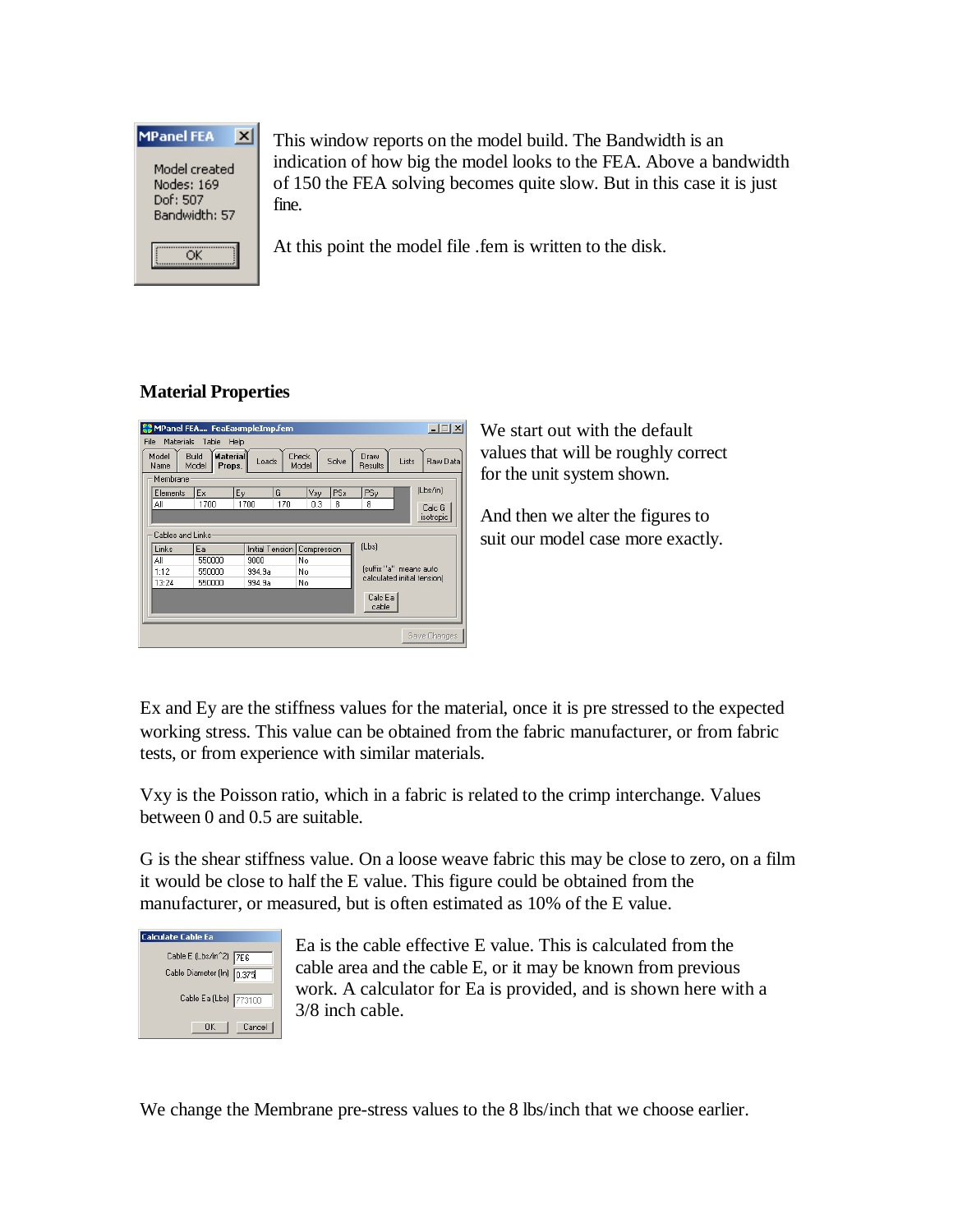

This window reports on the model build. The Bandwidth is an indication of how big the model looks to the FEA. Above a bandwidth of 150 the FEA solving becomes quite slow. But in this case it is just fine.

At this point the model file .fem is written to the disk.

# **Material Properties**



We start out with the default values that will be roughly correct for the unit system shown.

And then we alter the figures to suit our model case more exactly.

Ex and Ey are the stiffness values for the material, once it is pre stressed to the expected working stress. This value can be obtained from the fabric manufacturer, or from fabric tests, or from experience with similar materials.

Vxy is the Poisson ratio, which in a fabric is related to the crimp interchange. Values between 0 and 0.5 are suitable.

G is the shear stiffness value. On a loose weave fabric this may be close to zero, on a film it would be close to half the E value. This figure could be obtained from the manufacturer, or measured, but is often estimated as 10% of the E value.

| <b>Calculate Cable Ea</b> |  |  |  |  |  |
|---------------------------|--|--|--|--|--|
| Cable E (Lbs/in^2) 7E6    |  |  |  |  |  |
| Cable Diameter (In) 0.375 |  |  |  |  |  |
| Cable Ea (Lbs) 773100     |  |  |  |  |  |
| Cancel<br>ΠK              |  |  |  |  |  |

Ea is the cable effective E value. This is calculated from the cable area and the cable E, or it may be known from previous work. A calculator for Ea is provided, and is shown here with a 3/8 inch cable.

We change the Membrane pre-stress values to the 8 lbs/inch that we choose earlier.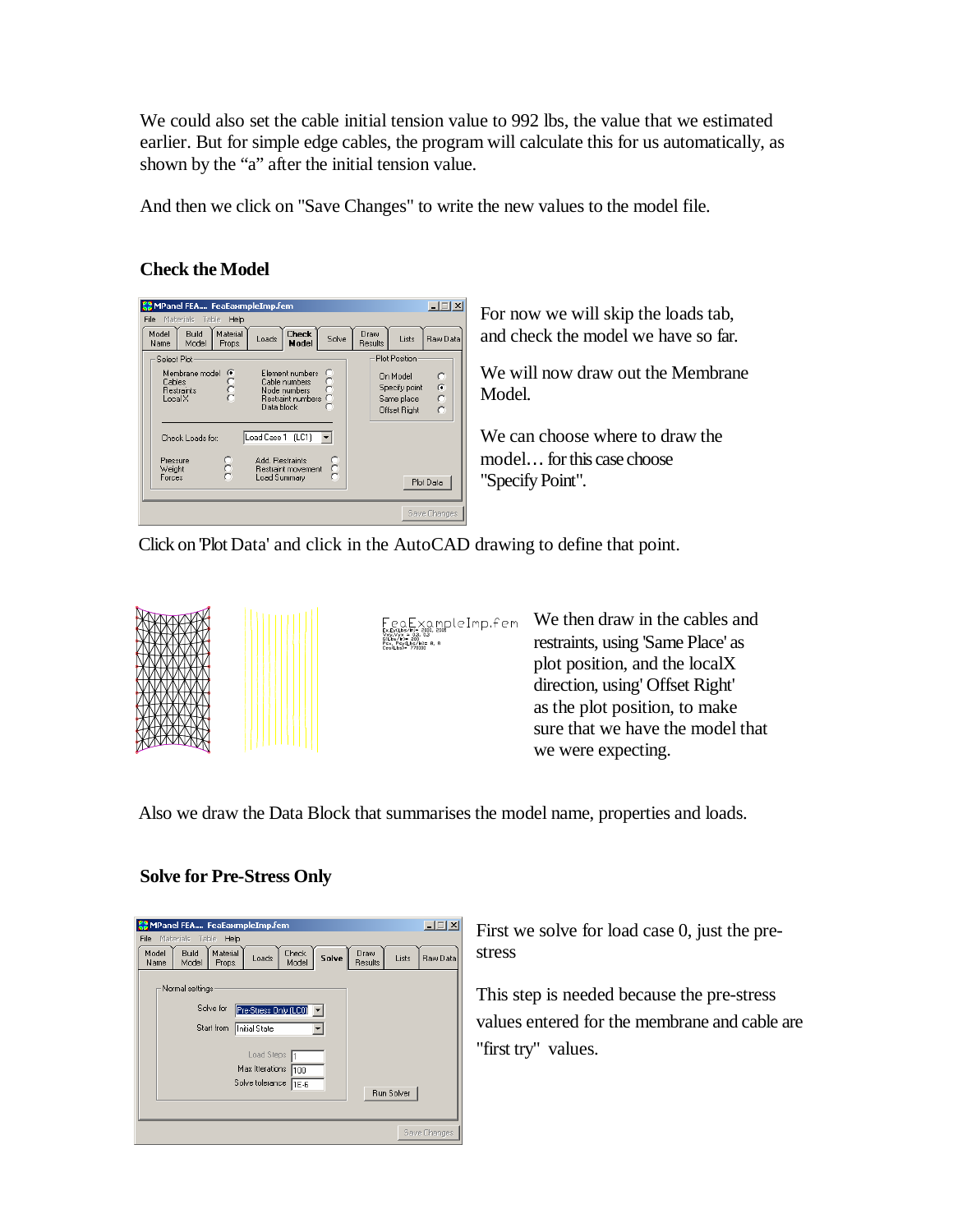We could also set the cable initial tension value to 992 lbs, the value that we estimated earlier. But for simple edge cables, the program will calculate this for us automatically, as shown by the "a" after the initial tension value.

And then we click on "Save Changes" to write the new values to the model file.

# **Check the Model**



For now we will skip the loads tab, and check the model we have so far.

We will now draw out the Membrane Model.

We can choose where to draw the model… for this case choose "Specify Point".

Click on Plot Data' and click in the AutoCAD drawing to define that point.



xൣಊpleImp.fem

We then draw in the cables and restraints, using 'Same Place' as plot position, and the localX direction, using' Offset Right' as the plot position, to make sure that we have the model that we were expecting.

Also we draw the Data Block that summarises the model name, properties and loads.

## **Solve for Pre-Stress Only**

| $ \Box$ $\times$<br>MPanel FEA FeaEaxmpleImp.fem                                                                                                                        |  |  |  |  |  |  |
|-------------------------------------------------------------------------------------------------------------------------------------------------------------------------|--|--|--|--|--|--|
| Table<br>File<br>Materials<br>Help<br>Material<br>Build<br>Model<br>Check<br>Draw<br>Solve<br>Loads<br>Lists<br>Raw Data<br>Results<br>Model<br>Model<br>Name<br>Props. |  |  |  |  |  |  |
| Normal settings                                                                                                                                                         |  |  |  |  |  |  |
| Solve for<br>Pre-Stress Only (LC0)                                                                                                                                      |  |  |  |  |  |  |
| Start from<br>Initial State                                                                                                                                             |  |  |  |  |  |  |
| Load Steps                                                                                                                                                              |  |  |  |  |  |  |
| Max Itterations<br>100<br>Solve tolerance                                                                                                                               |  |  |  |  |  |  |
| 1E-6<br>Run Solver                                                                                                                                                      |  |  |  |  |  |  |
|                                                                                                                                                                         |  |  |  |  |  |  |
| Save Changes                                                                                                                                                            |  |  |  |  |  |  |

First we solve for load case 0, just the prestress

This step is needed because the pre-stress values entered for the membrane and cable are "first try" values.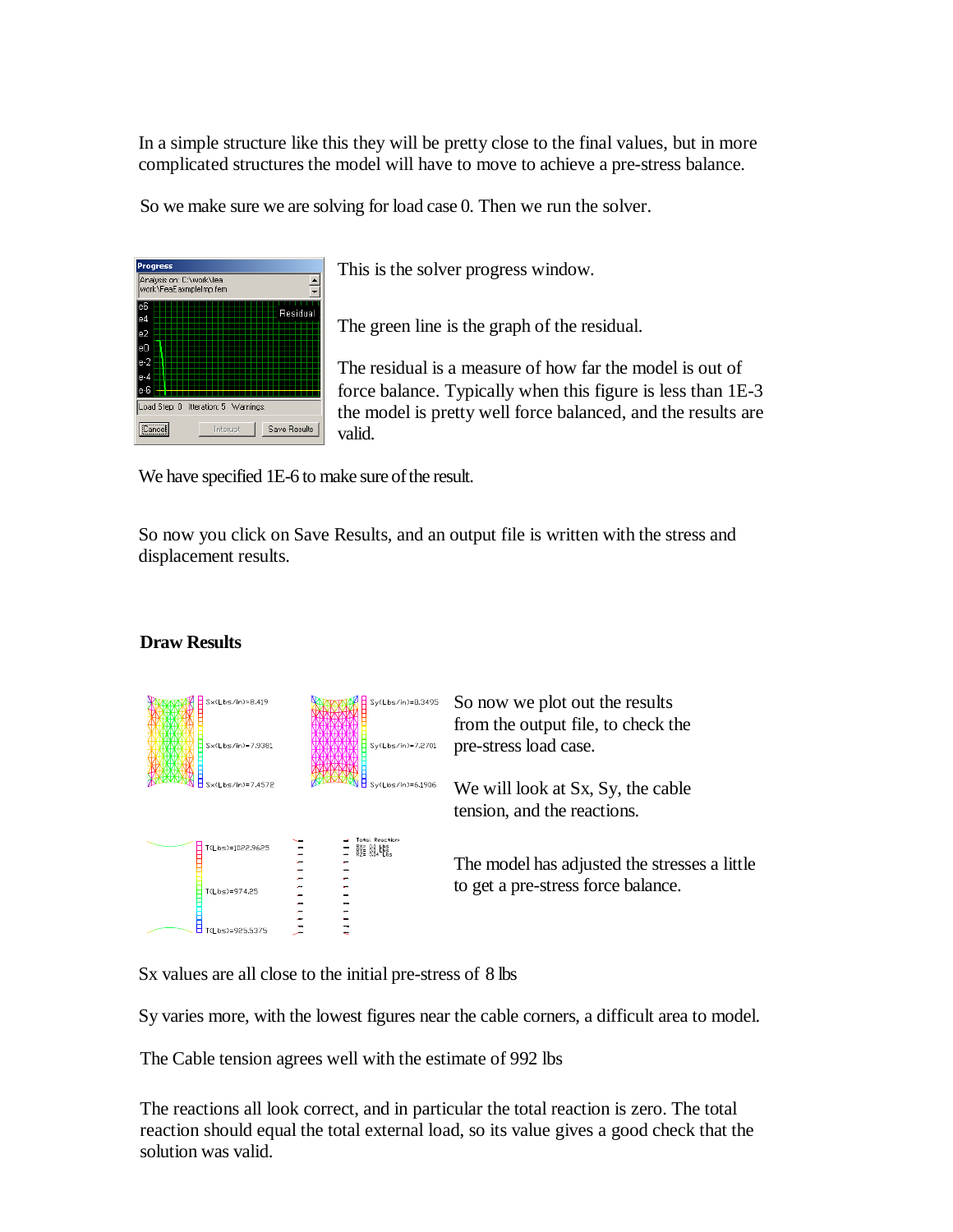In a simple structure like this they will be pretty close to the final values, but in more complicated structures the model will have to move to achieve a pre-stress balance.

So we make sure we are solving for load case 0. Then we run the solver.



This is the solver progress window.

The green line is the graph of the residual.

The residual is a measure of how far the model is out of force balance. Typically when this figure is less than 1E-3 the model is pretty well force balanced, and the results are valid.

We have specified 1E-6 to make sure of the result.

So now you click on Save Results, and an output file is written with the stress and displacement results.

## **Draw Results**



Sx values are all close to the initial pre-stress of 8 lbs

Sy varies more, with the lowest figures near the cable corners, a difficult area to model.

The Cable tension agrees well with the estimate of 992 lbs

The reactions all look correct, and in particular the total reaction is zero. The total reaction should equal the total external load, so its value gives a good check that the solution was valid.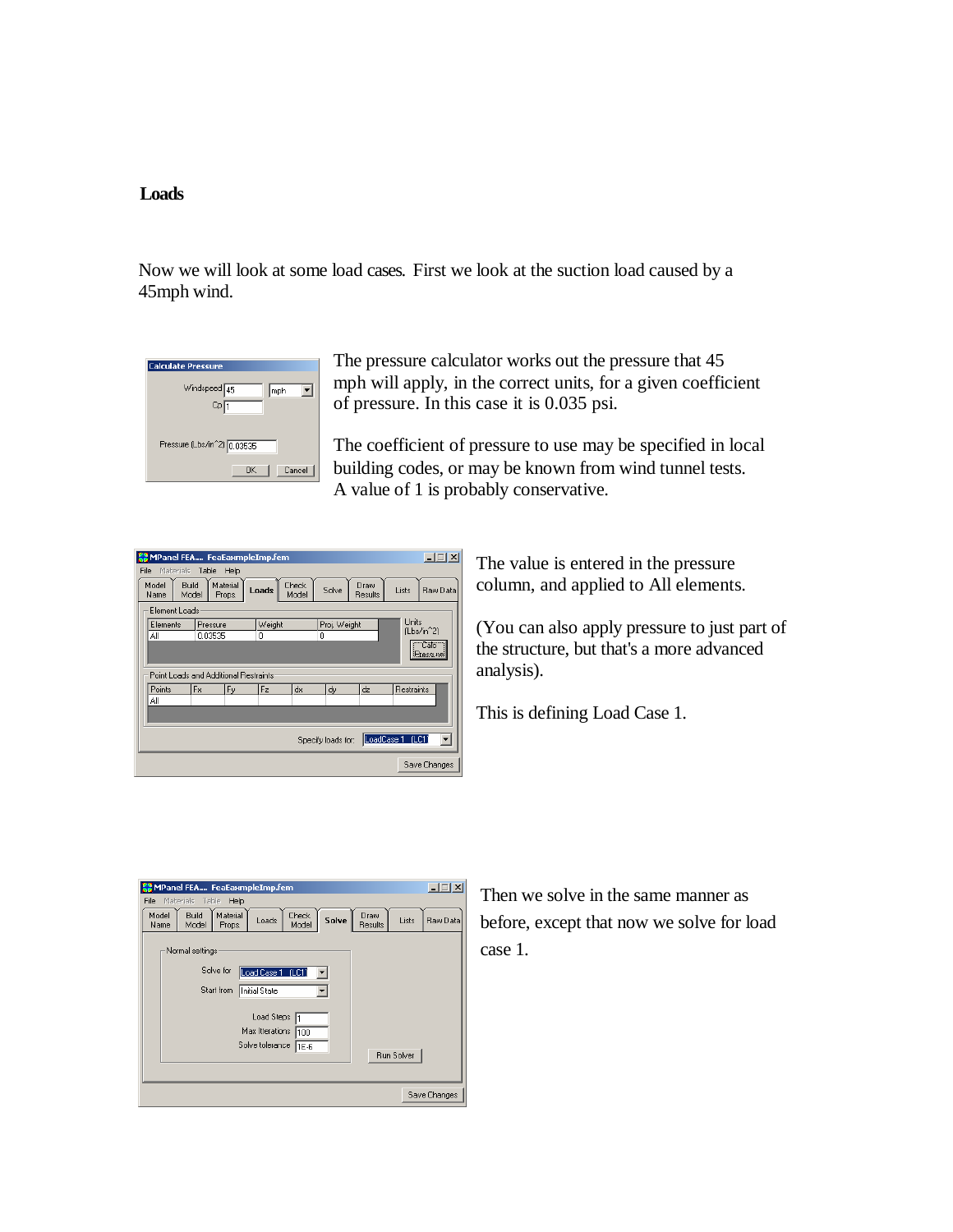#### **Loads**

Now we will look at some load cases. First we look at the suction load caused by a 45mph wind.

| <b>Calculate Pressure</b>   |
|-----------------------------|
| Windspeed 45<br>mph         |
| Cp <sub>1</sub>             |
|                             |
| Pressure (Lbs/in^2) 0.03535 |
| <b>OK</b><br>Cancel         |

The pressure calculator works out the pressure that 45 mph will apply, in the correct units, for a given coefficient of pressure. In this case it is 0.035 psi.

The coefficient of pressure to use may be specified in local building codes, or may be known from wind tunnel tests. A value of 1 is probably conservative.

|                                                                                                                              | <b>COMPanel FEA FeaEaxmpleImp.fem</b> |  |  |                        |  |          |                                 | $\Box$ $\Box$ $\times$ |              |
|------------------------------------------------------------------------------------------------------------------------------|---------------------------------------|--|--|------------------------|--|----------|---------------------------------|------------------------|--------------|
|                                                                                                                              | File<br>Materials<br>Table<br>Help    |  |  |                        |  |          |                                 |                        |              |
| Material<br>Build<br>Model<br><b>Check</b><br>Draw<br>Solve<br>Loads<br>Lists<br>Model<br>Model<br>Props.<br>Results<br>Name |                                       |  |  |                        |  | Raw Data |                                 |                        |              |
|                                                                                                                              | Element Loads                         |  |  |                        |  |          |                                 |                        |              |
|                                                                                                                              | Elements<br>Pressure                  |  |  | Weight<br>Proj. Weight |  |          | Units<br>(Lbs/in <sup>^2)</sup> |                        |              |
|                                                                                                                              | ΑI<br>0.03535                         |  |  | ۵                      |  | 0        |                                 |                        |              |
|                                                                                                                              | "Calc"<br>Pressure                    |  |  |                        |  |          |                                 |                        |              |
|                                                                                                                              |                                       |  |  |                        |  |          |                                 |                        |              |
|                                                                                                                              | Point Loads and Additional Restraints |  |  |                        |  |          |                                 |                        |              |
|                                                                                                                              | Points<br><b>Fx</b><br>Fz<br>Fy       |  |  | dx<br>dy               |  | dz       | Restraints                      |                        |              |
|                                                                                                                              | ΑI                                    |  |  |                        |  |          |                                 |                        |              |
|                                                                                                                              |                                       |  |  |                        |  |          |                                 |                        |              |
|                                                                                                                              |                                       |  |  |                        |  |          |                                 |                        |              |
|                                                                                                                              | LoadCase 1 (LC1<br>Specify loads for: |  |  |                        |  |          |                                 |                        |              |
|                                                                                                                              |                                       |  |  |                        |  |          |                                 |                        |              |
|                                                                                                                              |                                       |  |  |                        |  |          |                                 |                        | Save Changes |

The value is entered in the pressure column, and applied to All elements.

(You can also apply pressure to just part of the structure, but that's a more advanced analysis).

This is defining Load Case 1.

| $\Box$<br>MPanel FEA FeaEaxmpleImp.fem |                                                                          |                                      |  |  |  |  |
|----------------------------------------|--------------------------------------------------------------------------|--------------------------------------|--|--|--|--|
| File                                   | Materials<br>Table<br>Help                                               |                                      |  |  |  |  |
| Model<br>Name                          | Build<br>Material<br>Check<br>Solve<br>Loads<br>Model<br>Model<br>Props. | Draw<br>Lists<br>Raw Data<br>Results |  |  |  |  |
|                                        | Normal settings                                                          |                                      |  |  |  |  |
|                                        | Solve for<br>Load Case 1 (LC1)                                           |                                      |  |  |  |  |
|                                        | Start from<br>Initial State                                              |                                      |  |  |  |  |
|                                        | Load Steps<br>Max Itterations                                            |                                      |  |  |  |  |
|                                        | 100<br>Solve tolerance<br>11E-6                                          |                                      |  |  |  |  |
|                                        |                                                                          | <b>Run Solver</b>                    |  |  |  |  |
|                                        |                                                                          |                                      |  |  |  |  |
|                                        |                                                                          | Save Changes                         |  |  |  |  |

Then we solve in the same manner as before, except that now we solve for load case 1.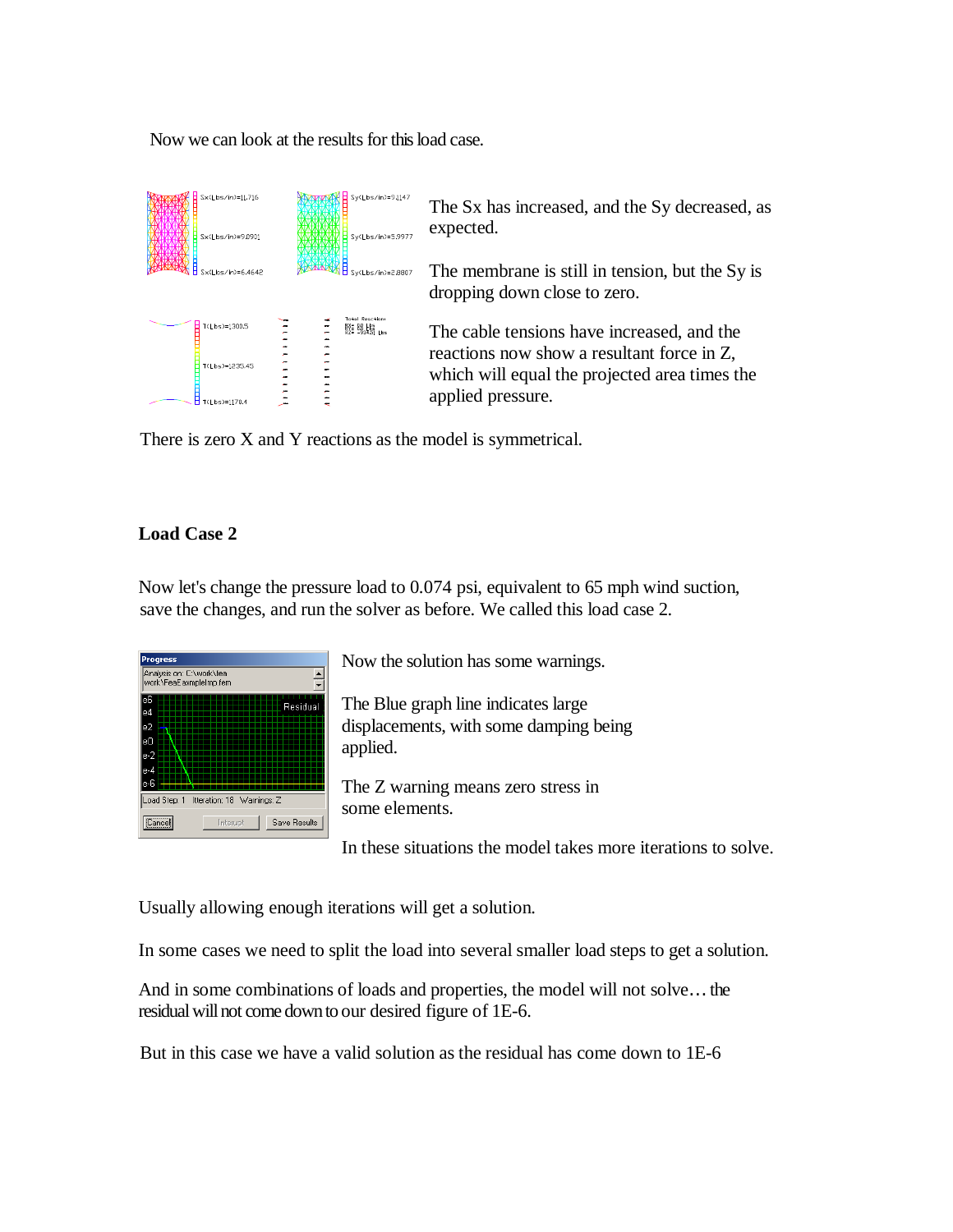Now we can look at the results for this load case.

| Sx(Lbs/in)=11.716<br>Sx(Lbs/in)=9.0901           | $Sy(Lbs/in)=9.1147$<br>Sv(Lbs/in)=5.9977 | The Sx has increased, and the Sy decreased, as<br>expected.                                                                                                    |
|--------------------------------------------------|------------------------------------------|----------------------------------------------------------------------------------------------------------------------------------------------------------------|
|                                                  | Sy(Lbs/in)=2.8807                        | The membrane is still in tension, but the Sy is<br>dropping down close to zero.                                                                                |
| T(Lbs)=1300.5<br>T(Lbs)=1235.45<br>T(Lbs)=1170.4 | <b>Reactions</b><br>膠= 路場……              | The cable tensions have increased, and the<br>reactions now show a resultant force in Z,<br>which will equal the projected area times the<br>applied pressure. |

There is zero X and Y reactions as the model is symmetrical.

## **Load Case 2**

Now let's change the pressure load to 0.074 psi, equivalent to 65 mph wind suction, save the changes, and run the solver as before. We called this load case 2.



Now the solution has some warnings.

The Blue graph line indicates large displacements, with some damping being applied.

The Z warning means zero stress in some elements.

In these situations the model takes more iterations to solve.

Usually allowing enough iterations will get a solution.

In some cases we need to split the load into several smaller load steps to get a solution.

And in some combinations of loads and properties, the model will not solve… the residual will not come down to our desired figure of 1E-6.

But in this case we have a valid solution as the residual has come down to 1E-6